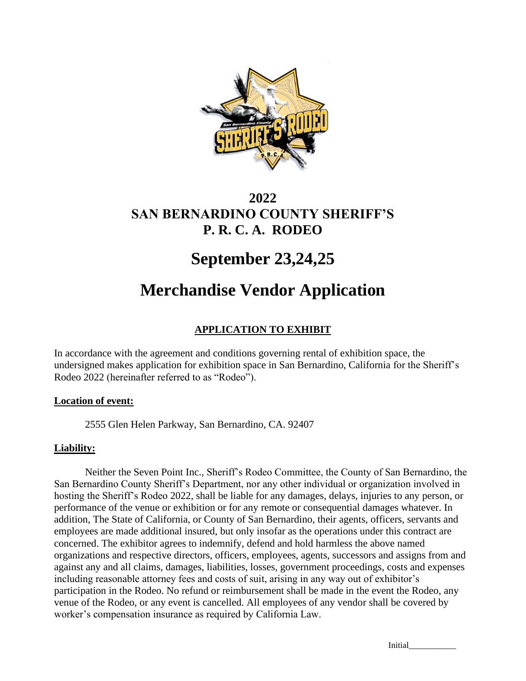

# **2022 SAN BERNARDINO COUNTY SHERIFF'S P. R. C. A. RODEO**

# **September 23,24,25**

# **Merchandise Vendor Application**

# **APPLICATION TO EXHIBIT**

In accordance with the agreement and conditions governing rental of exhibition space, the undersigned makes application for exhibition space in San Bernardino, California for the Sheriff's Rodeo 2022 (hereinafter referred to as "Rodeo").

# **Location of event:**

2555 Glen Helen Parkway, San Bernardino, CA. 92407

# **Liability:**

Neither the Seven Point Inc., Sheriff's Rodeo Committee, the County of San Bernardino, the San Bernardino County Sheriff's Department, nor any other individual or organization involved in hosting the Sheriff's Rodeo 2022, shall be liable for any damages, delays, injuries to any person, or performance of the venue or exhibition or for any remote or consequential damages whatever. In addition, The State of California, or County of San Bernardino, their agents, officers, servants and employees are made additional insured, but only insofar as the operations under this contract are concerned. The exhibitor agrees to indemnify, defend and hold harmless the above named organizations and respective directors, officers, employees, agents, successors and assigns from and against any and all claims, damages, liabilities, losses, government proceedings, costs and expenses including reasonable attorney fees and costs of suit, arising in any way out of exhibitor's participation in the Rodeo. No refund or reimbursement shall be made in the event the Rodeo, any venue of the Rodeo, or any event is cancelled. All employees of any vendor shall be covered by worker's compensation insurance as required by California Law.

Initial\_\_\_\_\_\_\_\_\_\_\_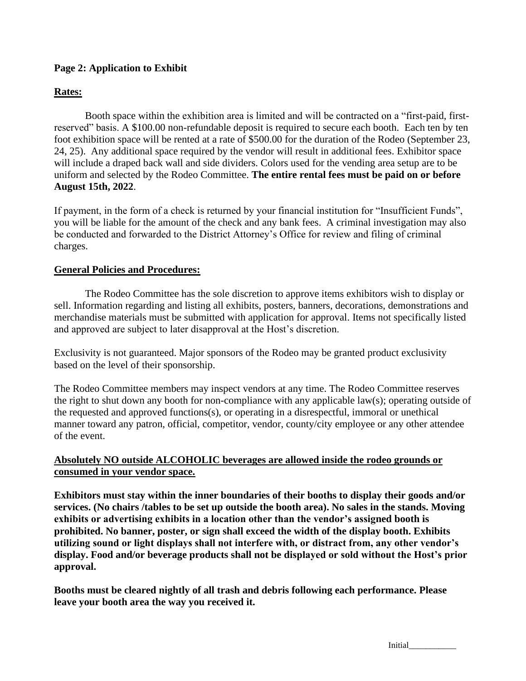## **Page 2: Application to Exhibit**

#### **Rates:**

Booth space within the exhibition area is limited and will be contracted on a "first-paid, firstreserved" basis. A \$100.00 non-refundable deposit is required to secure each booth. Each ten by ten foot exhibition space will be rented at a rate of \$500.00 for the duration of the Rodeo (September 23, 24, 25). Any additional space required by the vendor will result in additional fees. Exhibitor space will include a draped back wall and side dividers. Colors used for the vending area setup are to be uniform and selected by the Rodeo Committee. **The entire rental fees must be paid on or before August 15th, 2022**.

If payment, in the form of a check is returned by your financial institution for "Insufficient Funds", you will be liable for the amount of the check and any bank fees. A criminal investigation may also be conducted and forwarded to the District Attorney's Office for review and filing of criminal charges.

#### **General Policies and Procedures:**

The Rodeo Committee has the sole discretion to approve items exhibitors wish to display or sell. Information regarding and listing all exhibits, posters, banners, decorations, demonstrations and merchandise materials must be submitted with application for approval. Items not specifically listed and approved are subject to later disapproval at the Host's discretion.

Exclusivity is not guaranteed. Major sponsors of the Rodeo may be granted product exclusivity based on the level of their sponsorship.

The Rodeo Committee members may inspect vendors at any time. The Rodeo Committee reserves the right to shut down any booth for non-compliance with any applicable law(s); operating outside of the requested and approved functions(s), or operating in a disrespectful, immoral or unethical manner toward any patron, official, competitor, vendor, county/city employee or any other attendee of the event.

#### **Absolutely NO outside ALCOHOLIC beverages are allowed inside the rodeo grounds or consumed in your vendor space.**

**Exhibitors must stay within the inner boundaries of their booths to display their goods and/or services. (No chairs /tables to be set up outside the booth area). No sales in the stands. Moving exhibits or advertising exhibits in a location other than the vendor's assigned booth is prohibited. No banner, poster, or sign shall exceed the width of the display booth. Exhibits utilizing sound or light displays shall not interfere with, or distract from, any other vendor's display. Food and/or beverage products shall not be displayed or sold without the Host's prior approval.** 

**Booths must be cleared nightly of all trash and debris following each performance. Please leave your booth area the way you received it.** 

Initial\_\_\_\_\_\_\_\_\_\_\_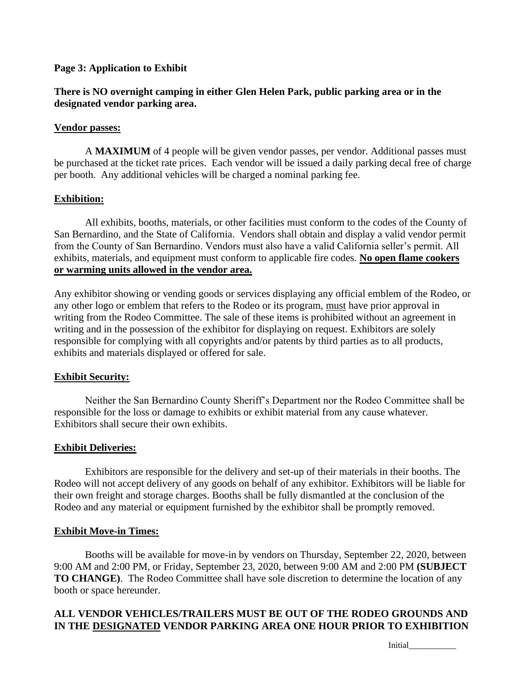#### **Page 3: Application to Exhibit**

## **There is NO overnight camping in either Glen Helen Park, public parking area or in the designated vendor parking area.**

#### **Vendor passes:**

A **MAXIMUM** of 4 people will be given vendor passes, per vendor. Additional passes must be purchased at the ticket rate prices. Each vendor will be issued a daily parking decal free of charge per booth. Any additional vehicles will be charged a nominal parking fee.

#### **Exhibition:**

All exhibits, booths, materials, or other facilities must conform to the codes of the County of San Bernardino, and the State of California. Vendors shall obtain and display a valid vendor permit from the County of San Bernardino. Vendors must also have a valid California seller's permit. All exhibits, materials, and equipment must conform to applicable fire codes. **No open flame cookers or warming units allowed in the vendor area.** 

Any exhibitor showing or vending goods or services displaying any official emblem of the Rodeo, or any other logo or emblem that refers to the Rodeo or its program, must have prior approval in writing from the Rodeo Committee. The sale of these items is prohibited without an agreement in writing and in the possession of the exhibitor for displaying on request. Exhibitors are solely responsible for complying with all copyrights and/or patents by third parties as to all products, exhibits and materials displayed or offered for sale.

#### **Exhibit Security:**

Neither the San Bernardino County Sheriff's Department nor the Rodeo Committee shall be responsible for the loss or damage to exhibits or exhibit material from any cause whatever. Exhibitors shall secure their own exhibits.

#### **Exhibit Deliveries:**

Exhibitors are responsible for the delivery and set-up of their materials in their booths. The Rodeo will not accept delivery of any goods on behalf of any exhibitor. Exhibitors will be liable for their own freight and storage charges. Booths shall be fully dismantled at the conclusion of the Rodeo and any material or equipment furnished by the exhibitor shall be promptly removed.

#### **Exhibit Move-in Times:**

Booths will be available for move-in by vendors on Thursday, September 22, 2020, between 9:00 AM and 2:00 PM, or Friday, September 23, 2020, between 9:00 AM and 2:00 PM **(SUBJECT TO CHANGE)**. The Rodeo Committee shall have sole discretion to determine the location of any booth or space hereunder.

# **ALL VENDOR VEHICLES/TRAILERS MUST BE OUT OF THE RODEO GROUNDS AND IN THE DESIGNATED VENDOR PARKING AREA ONE HOUR PRIOR TO EXHIBITION**

Initial<sub>\_\_\_\_\_\_\_\_\_</sub>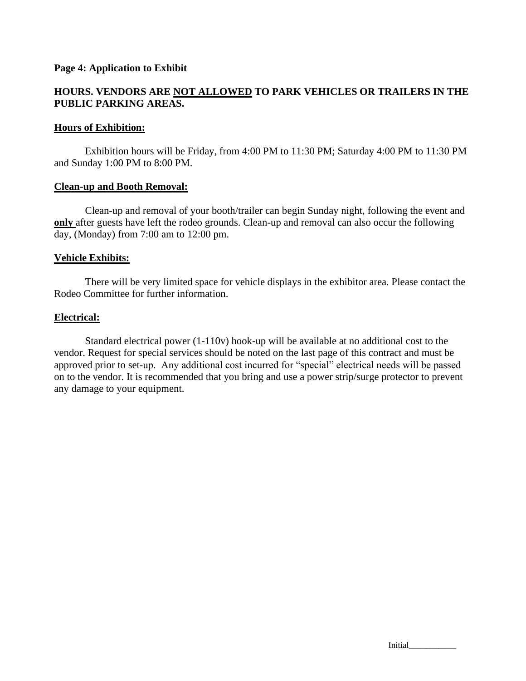#### **Page 4: Application to Exhibit**

# **HOURS. VENDORS ARE NOT ALLOWED TO PARK VEHICLES OR TRAILERS IN THE PUBLIC PARKING AREAS.**

#### **Hours of Exhibition:**

Exhibition hours will be Friday, from 4:00 PM to 11:30 PM; Saturday 4:00 PM to 11:30 PM and Sunday 1:00 PM to 8:00 PM.

#### **Clean-up and Booth Removal:**

Clean-up and removal of your booth/trailer can begin Sunday night, following the event and **only** after guests have left the rodeo grounds. Clean-up and removal can also occur the following day, (Monday) from 7:00 am to 12:00 pm.

#### **Vehicle Exhibits:**

There will be very limited space for vehicle displays in the exhibitor area. Please contact the Rodeo Committee for further information.

#### **Electrical:**

Standard electrical power (1-110v) hook-up will be available at no additional cost to the vendor. Request for special services should be noted on the last page of this contract and must be approved prior to set-up. Any additional cost incurred for "special" electrical needs will be passed on to the vendor. It is recommended that you bring and use a power strip/surge protector to prevent any damage to your equipment.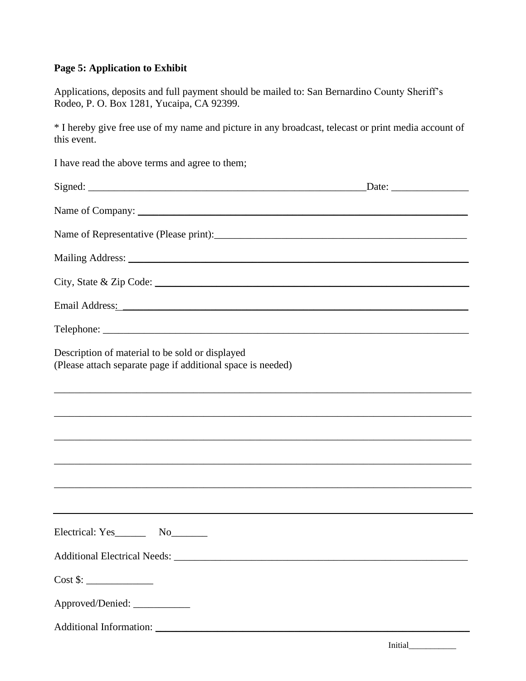# **Page 5: Application to Exhibit**

Applications, deposits and full payment should be mailed to: San Bernardino County Sheriff's Rodeo, P. O. Box 1281, Yucaipa, CA 92399.

\* I hereby give free use of my name and picture in any broadcast, telecast or print media account of this event.

| I have read the above terms and agree to them;                                                                                                                                                                                 |  |
|--------------------------------------------------------------------------------------------------------------------------------------------------------------------------------------------------------------------------------|--|
|                                                                                                                                                                                                                                |  |
|                                                                                                                                                                                                                                |  |
|                                                                                                                                                                                                                                |  |
|                                                                                                                                                                                                                                |  |
|                                                                                                                                                                                                                                |  |
| Email Address: No. 1996. The Contract of the Contract of the Contract of the Contract of the Contract of the Contract of the Contract of the Contract of the Contract of the Contract of the Contract of the Contract of the C |  |
|                                                                                                                                                                                                                                |  |
| Description of material to be sold or displayed<br>(Please attach separate page if additional space is needed)                                                                                                                 |  |
|                                                                                                                                                                                                                                |  |
| ,我们也不能在这里的时候,我们也不能在这里的时候,我们也不能会在这里的时候,我们也不能会在这里的时候,我们也不能会在这里的时候,我们也不能会在这里的时候,我们也不                                                                                                                                              |  |
|                                                                                                                                                                                                                                |  |
|                                                                                                                                                                                                                                |  |
|                                                                                                                                                                                                                                |  |
|                                                                                                                                                                                                                                |  |
|                                                                                                                                                                                                                                |  |
|                                                                                                                                                                                                                                |  |
| Approved/Denied: ___________                                                                                                                                                                                                   |  |
|                                                                                                                                                                                                                                |  |
|                                                                                                                                                                                                                                |  |